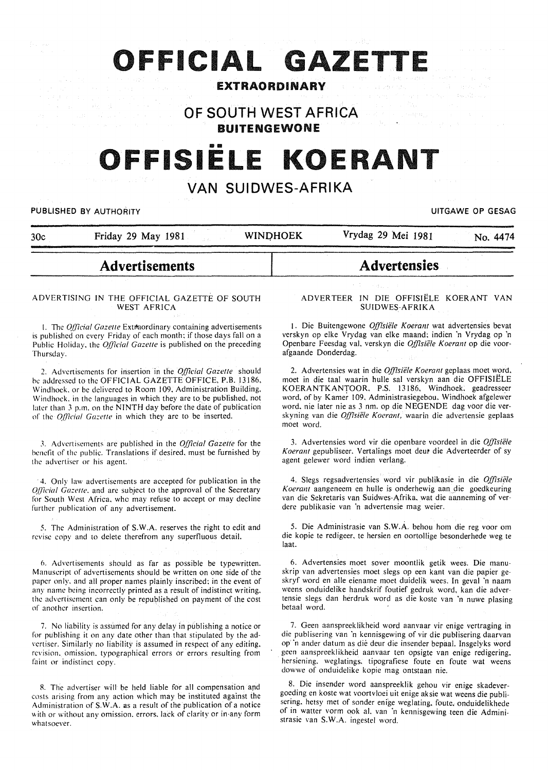# **OFFICIAL GAZETTE**

# EXTRAORDINARY

OF SOUTH WEST AFRICA BUITENGEWONE

# OFFISIËLE KOERANT

# VAN SUIDWES-AFRIKA

#### PUBLISHED BY AUTHORITY **EXECUTE A SECURE 2018 THE SECURE 2019 OF SESAGREED BY AUTHORITY**

| 30c | Friday 29 May 1981 | <b>WINDHOEK</b> | Vrydag 29 Mei 1981 | No. 4474 |
|-----|--------------------|-----------------|--------------------|----------|
|     |                    |                 |                    |          |

# Advertisements

#### ADVERTISING IN THE OFFICIAL GAZETTE OF SOUTH WEST AFRICA

1. The *Official Gazette* Extraordinary containing advertisements is published on every Friday of each month; if those days fall on a Public Holiday, the *Official Gazette* is published on the preceding Thursday.

2. Advertisements for insertion in the *Official Gazelle* should he addressed to the OFFICIAL GAZETTE OFFICE. P.B. 13186. Windhoek. or be delivered to Room 109. Administration Building. Windhoek. in the languages in which they are to be published. not later than 3 p.m. on the NINTH day before the date of publication of the *Official Gazette* in which they are to be inserted.

J. Advertisements are published in the *Official Gazette* for the benefit of the public. Translations if desired. must be furnished by the advertiser or his agent.

· 4. Only law advertisements are accepted for publication in the *Qfficial Gazette.* and are subject to the approval of the Secretary for South West Africa. who may refuse to accept or may decline further publication of any advertisement.

5. The Administration of S.W.A. reserves the right to edit and revise copy and to delete therefrom any superfluous detail.

6. Advertisements should as far as possible be typewritten. Manuscript of advertisements should be written on one side of the paper only. and all proper names plainly inscribed: in the event of any name being incorrectly printed as a result of indistinct writing. the advertisement can only be republished on payment of the cost of another insertion.

7. No liability is assumed for any delay in publishing a notice or for publishing it on any date other than that stipulated by the advertiser. Similarly no liability is assumed in respect of any editing. revision. omission. typographical errors or errors resulting from faint or indistinct copy.

R. The advertiser will be held liable for all compensation and costs arising from any action which may be instituted against the Administration of S.W.A. as a result of the publication of a notice with or without any omission. errors. lack of clarity or in any form whatsoever.

#### ADVERTEER IN DIE OFFISIELE KOERANT VAN SUIDWES·AFRIKA

**Advertensies** 

1. Die Buitengewone *Offisiële Koerant* wat advertensies bevat verskyn op elke Vrydag van elke maand: indien 'n Vrydag op 'n Openbare Feesdag val. verskyn die *Offisiele Koerant* op die voorafgaande Donderdag.

2. Advertensies wat in die *Offisiële Koerant* geplaas moet word, moet in die taal waarin hulle sal verskyn aan die OFFISIELE KOERANTKANTOOR. P.S. 13!86. Windhoek; geadresseer word, of by Kamer 109. Administrasiegebou. Windhoek afgelewer word. nie later nie as 3 nm. op die NEGENDE dag voor die verskyning van die *Offisiele Koerant,* waarin die advertensie geplaas moet word.

3. Advertensies word vir die openbare voordeel in die *Offisiele*  Koerant gepubliseer. Vertalings moet deur die Adverteerder of sy agent gelewer word indien verlang.

4. Slegs regsadvertensies word vir publikasie in die *Offisiele Koerant* aangeneem en hulle is onderhewig aandie goedkeuring van die Sekretaris van Suidwes-Afrika. wat die aanneming of verdere publikasie van 'n advertensie mag weier.

5. Die Administrasie van S.W.A. behou hom die reg voor om die kopie te redigeer. te hersien en oortollige besonderhede weg te laat.

6. Advertensies moet sover moontlik getik wees. Die manuskrip van advertensies moet slegs op een kant van die papier geskryf word en aile eiename moet duidelik wees. In geval 'n naam weens onduidelike handskrif foutief gedruk word, kan die advertensie slegs dan herdruk word as die koste van 'n nuwe plasing betaal word.

7. Geen aanspreeklikheid word aanvaar vir enige vertraging in die publisering van 'n kennisgewing of vir die publisering daarvan op· 'n ander datum as die deur die insender bepaal. Insgelyks word geen aanspreeklikheid aanvaar ten opsigte van enige redigering. hersiening. weglatings. tipografiese foute en foute wat weens dowwe of onduidelike kopie mag ontstaan nie.

8. Die insender word aanspreeklik gehou vir enige skadevergoeding en koste wat voortvloei uit enige aksie wat weens die publisering. hetsy met of sonder enige weglating. foute. onduidelikhede of in watter vorm ook al. van 'n kennisgewing teen die Administrasie van S.W.A. ingestel word.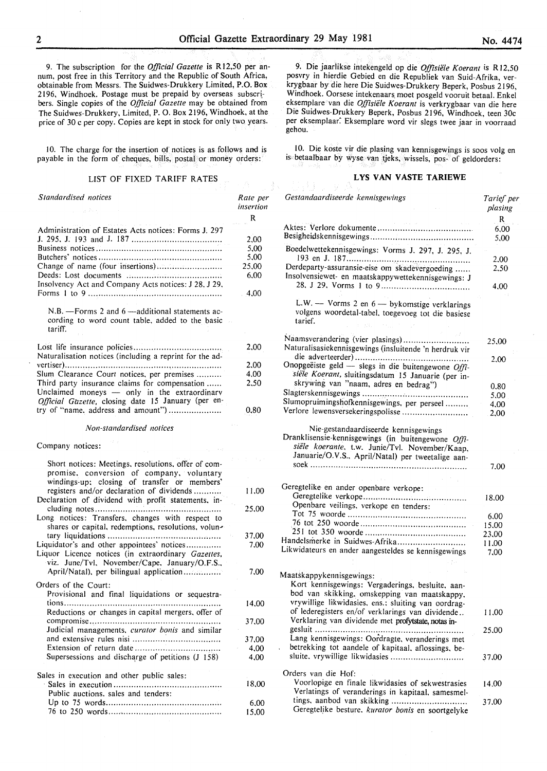9. The subscription for the *Official Gazette* is R 12,50 per annum, post free in this Territory and the Republic of South Africa, obtainable from Messrs. The Suidwes-Drukkery Limited, P.O. Box  $2196$ , Windhoek. Postage must be prepaid by overseas subscribers. Single copies of the *Official Gazette* may be obtained from The Suidwes-Drukkery. Limited, P. 0. Box 2196, Windhoek, at the price of 30 c per copy. Copies are kept in stock for only two years.

10. The charge for the insertion of notices is as follows and is payable in the form of cheques, bills, postal or money orders:

#### LIST OF FIXED TARIFF RATES

*Standardised notices*  Administration of Estates Acts notices: Forms J. 297 J. 295. J. 193 and J. 187 ................................... . Business notices ................................................ .. Butchers' notices ................................................ . Change of name (four insertions) ......................... . Deeds: Lost documents ..................................... . Insolvency Act and Company Acts notices: J 28. J 29, Forms I to 9 ................... · ................................ .. N.B. - Forms 2 and 6 - additional statements according to word count table, added to the basic tariff. Lost life insurance policies ................................. .. Naturalisation notices (including a reprint for the advertiser) ......................................... , ................... . Slum Clearance Court notices, per premises ......... . Third party insurance claims for compensation ...... Unclaimed moneys  $-$  only in the extraordinary *Official Gazette,* closing date 15 January (per entry of "name, address and amount") ...................... *Non-standardised notices*  Company notices: Short notices: Meetings. resolutions. offer of compromise. conversion of company, voluntary windings-up; closing of transfer or members' registers and/or declaration of dividends .......... . Declaration of dividend with profit statements. including notes ................................................ .. Long notices: Transfers. changes with respect to shares or capital, redemptions, resolutions, voluntary liquidations ............................................ . Liquidator's and other appointees' notices ............. . Liquor Licence notices (in extraordinary *Gazelles,*  viz. June/Tvl. November/Cape. January/O.F.S., April/Natal), per bilingual application............... Orders of the Court: Provisional and final liquidations or sequestrations ............................................................ .. Reductions or changes in capital mergers. offer of compromise .................................................. .. Judicial managements, *curator bonis* and similar and extensive rules nisi ............. · .................... .. Extension of return date ................................ .. Supersessions and discharge of petitions  $(J\ 158)$ Sales in execution and other public sales: Sales in execution .......................................... . Public auctions. sales and tenders: Up to 75 words ............................................. . 76 to 250 words ............................................ . *Rate per insertion*  R 2.00 5,00 5.00 25.00 6.00 4.00 2,00 2.00 4,00 2.50 0,80 11.00 25.00 37.00 7.00 7.00 14.00 37.00 37.00 4,00 4,00 18.00 6.00 15.00

9. Die jaarlikse intekengeld op die *Offisiiile K oerant* is R 12.50 posvry in hierdie Gebied en die Republiek van Suid-Afrika, verkrygbaar by die here Die Suidwes-Drukkery Beperk, Posbus 2196, Windhoek. Oorsese intekenaars moet posgeld vooruit betaal. Enkel eksemplare van die *Offisiiile Koerant* is verkrygbaar van die here Die Suidwes-Drukkery Beperk, Posbus 2196, Windhoek, teen 30c per eksemplaar. Eksemplare word vir slegs twee jaar in voorraad gehou.

10. Die koste vir die plasing van kennisgewings is soos vo1g en is betaalbaar by wyse van tjeks, wissels, pos- of geldorders:

#### **LYS VAN VASTE TARIEWE**

| Gestandaardiseerde kennisgewings                                                                                                                          | Tarief per<br>plasing |
|-----------------------------------------------------------------------------------------------------------------------------------------------------------|-----------------------|
|                                                                                                                                                           | R                     |
|                                                                                                                                                           | 6,00                  |
|                                                                                                                                                           | 5,00                  |
| Boedelwettekennisgewings: Vorms J. 297, J. 295, J.                                                                                                        |                       |
|                                                                                                                                                           | 2,00                  |
| Derdeparty-assuransie-eise om skadevergoeding<br>Insolvensiewet- en maatskappywettekennisgewings: J                                                       | 2.50                  |
|                                                                                                                                                           | 4.00                  |
| L.W. — Vorms 2 en $6$ — by komstige verklarings<br>volgens woordetal-tabel, toegevoeg tot die basiese<br>tarief.                                          |                       |
| Naamsverandering (vier plasings)                                                                                                                          |                       |
| Naturalisasiekennisgewings (insluitende 'n herdruk vir                                                                                                    | 25,00                 |
|                                                                                                                                                           |                       |
| Onopgeëiste geld - slegs in die buitengewone Offi-                                                                                                        | 2.00                  |
| siële Koerant, sluitingsdatum 15 Januarie (per in-                                                                                                        |                       |
| skrywing van "naam, adres en bedrag")                                                                                                                     |                       |
|                                                                                                                                                           | 0.80                  |
| Slumopruimingshofkennisgewings, per perseel                                                                                                               | 5,00                  |
|                                                                                                                                                           | 4,00                  |
| Verlore lewensversekeringspolisse                                                                                                                         | 2,00                  |
| Dranklisensie-kennisgewings (in buitengewone Offi-<br>siële koerante, t.w. Junie/Tvl. November/Kaap,<br>Januarie/O.V.S., April/Natal) per tweetalige aan- | 7.00                  |
|                                                                                                                                                           |                       |
| Geregtelike en ander openbare verkope:                                                                                                                    |                       |
|                                                                                                                                                           |                       |
| Openbare veilings, verkope en tenders:                                                                                                                    | 18.00                 |
|                                                                                                                                                           | 6.00                  |
|                                                                                                                                                           | 15.00                 |
| Handelsmerke in Suidwes-Afrika                                                                                                                            | 23,00                 |
|                                                                                                                                                           | 11.00                 |
| Likwidateurs en ander aangesteldes se kennisgewings                                                                                                       | 7.00                  |
|                                                                                                                                                           |                       |
| Maatskappykennisgewings:                                                                                                                                  |                       |
| Kort kennisgewings: Vergaderings, besluite, aan-                                                                                                          |                       |
| bod van skikking, omskepping van maatskappy,                                                                                                              |                       |
| vrywillige likwidasies, ens.: sluiting van oordrag-                                                                                                       |                       |
| of lederegisters en/of verklarings van dividende                                                                                                          | 11.00                 |
| Verklaring van dividende met profytstate, notas in-                                                                                                       |                       |
| gesluit<br>                                                                                                                                               | 25.00                 |
| Lang kennisgewings: Oordragte, veranderings met                                                                                                           |                       |
| betrekking tot aandele of kapitaal, aflossings, be-                                                                                                       |                       |
| sluite, vrywillige likwidasies                                                                                                                            | 37.00                 |
|                                                                                                                                                           |                       |
| Orders van die Hof:                                                                                                                                       |                       |
| Voorlopige en finale likwidasies of sekwestrasies                                                                                                         | 14.00                 |
| Verlatings of veranderings in kapitaal, samesmel-                                                                                                         |                       |
|                                                                                                                                                           | 37.00                 |
| Geregtelike besture. kurator bonis en soortgelyke                                                                                                         |                       |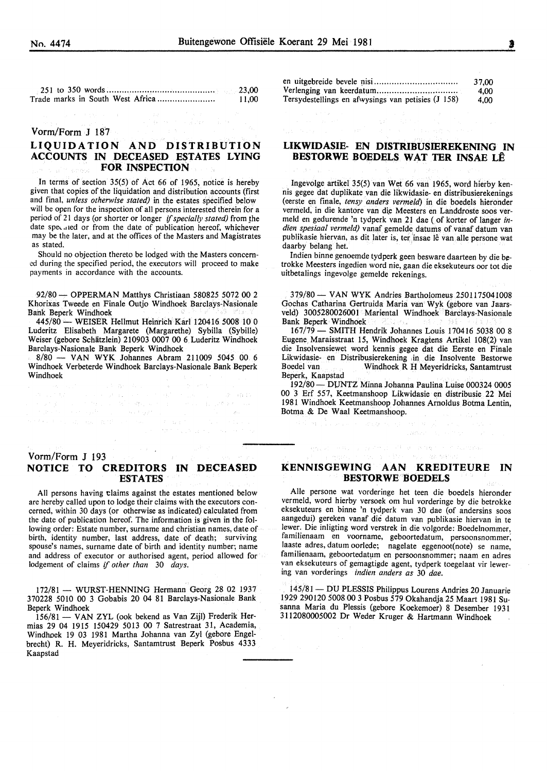251 to 350 words .......................................... . Trade marks in South West Africa ...................... . 23,00 11,00

**Contractor** Constitution

### Vorm/Form J  $187$

# LIQUIDATION AND DISTRIBUTION ACCOUNTS IN DECEASED ESTATES LYING FOR INSPECTION

In terms of section 35(5) of Act 66 of 1965, notice is hereby given that copies of the liquidation and distribution accounts (first and final, *unless otherwise stated)* in the estates specified below will be open for the inspection of all persons interested therein for a period of 21 days (or shorter or longer *if specially stated)* from the date specaled or from the date of publication hereof, whichever may be the later, and at the offices of the Masters and Magistrates as stated.

Should no objection thereto be lodged with the Masters concerned during the specified period, the executors will proceed to make payments in accordance with the accounts.

92/80- OPPERMAN Matthys Christiaan 580825 5072 00 2 Khorixas Tweede en Finale Outjo Windhoek Barclays-Nasionale Bank Beperk Windhoek

445/80- WEISER Hellmut Heinrich Karl 120416 5008 10 0 Luderitz Elisabeth Margarete (Margarethe) Sybilla (Sybille) Weiser (gebore Schatzlein) 210903 0007 00 6 Luderitz Windhoek Barclays-Nasionale Bank Beperk Windhoek

8/80 - VAN WYK Johannes Abram 211009 *5045* 00 6 Windhoek Verbeterde Windhoek Barclays-Nasionale Bank Beperk Windhoek

> いでうと  $\mathcal{N}$

an an t-Alba a coiseach agus a t-aiste an t-àir.<br>Tachair go chomh-chuireadh an t-àir agus an t-àir

Vorm/Form J 193 NOTICE TO CREDITORS IN DECEASED ESTATES

All persons having claims against the estates mentioned below are hereby called upon to lodge their claims with the executors con· cerned, within 30 days (or otherwise as indicated) calculated from the date of publication hereof. The information is given in the following order: Estate number, surname and christian names, date of birth, identity number, last address, date of death; surviving spouse's names, surname date of birth and identity number; name and address of executor or authorised agent, period allowed for lodgement of claims if *other than* 30 *days.* 

172/81 - WURST-HENNING Hermann Georg 28 02 1937 370228 5010 00 3 Gobabis 20 04 81 Barclays-Nasionale Bank Beperk Windhoek

156/81 - VAN ZYL (ook bekend as Van Zijl) Frederik Hermias 29 04 1915 150429 5013 00 7 Satrestraat 31, Academia, Windhoek 19 03 1981 Martha Johanna van Zyl (gebore Engelbrecht) R. H. Meyeridricks, Santamtrust Beperk Posbus 4333 Kaapstad

|                                                    | 37.00 |
|----------------------------------------------------|-------|
|                                                    | 4.00  |
| Tersydestellings en afwysings van petisies (J 158) | 4.00  |

## LIKWIDASIE- EN DISTRIBUSIEREKENING IN BESTORWE BOEDELS WAT TER INSAE LÊ

Ingevolge artikel 35(5) van Wet 66 van 1965, word hierby kennis gegee dat duplikate van die Iikwidasie- en distribusierekenings (eerste en finale, *tensy anders vermeld)* in die boedels hieronder vermeld, in die kantore van die Meesters en Landdroste soos vermeld en gedurende 'n tydperk van 21 dae (of korter of Ianger *indien spesiaal vermeld)* vanaf gemelde datums of vanaf datum van publikasie hiervan, as dit later is, ter insae lê van alle persone wat daarby belang het.

Indien binne genoemde tydperk geen besware daarteen by die be· trokke Meesters ingedien word nie, gaan die eksekuteurs oor tot die uitbetalings ingevolge gemelde rekenings.

379/80- VANWYK Andries Bartholomeus 2501175041008 Gochas Catharina Gertruida Maria van Wyk (gebore van Jaarsveld) 3005280026001 Mariental Windhoek Barclays-Nasionale Bank Beperk Windhoek

167/79- SMITH Hendrik Johannes Louis 170416 5038 00 8 Eugene Maraisstraat 15, Windhoek Kragtens Artikel 108(2) van die Insolvensiewet word kennis gegee dat die Eerste en Finale Likwidasie- en Distribusierekening in die Insolvente Bestorwe Windhoek R H Meyeridricks, Santamtrust Beperk, Kaapstad

192/80 - DUNTZ Minna Johanna Paulina Luise 000324 0005 00 3 Erf 557, Keetmanshoop Likwidasie en distribusie 22 Mei 1981 Windhoek Keetmanshoop Johannes Arnoldus Botma Lentin, Botma & De Waal Keetmanshoop.

## KENNISGEWING AAN KREDITEURE IN BESTORWE BOEDELS

(315) 201

 $\phi(\alpha_{\lambda})_{\lambda\in\mathbb{R}^{2}}$  and  $\phi(\alpha_{\lambda})_{\lambda}$  and  $\phi(\alpha_{\lambda})_{\lambda}$  and  $\alpha_{\lambda}$ 

Aile persone wat vorderinge het teen die boedels hieronder vermeld, word hierby versoek om hul vorderinge by die betrokke eksekuteurs en binne 'n tydperk van 30 dae (of andersins soos aangedui) gereken vanaf die datum van publikasie hiervan in te !ewer. Die inligting word verstrek in die volgorde: Boedelnommer, familienaam en voorname, geboortedatum, persoonsnommer; laaste adres, datum oorlede; nagelate eggenoot(note) se name, familienaam, geboortedatum en persoonsnommer; naam en adres van eksekuteurs of gemagtigde agent, tydperk toegelaat vir lewering van vorderings *indien anders as* 30 *dae.* 

145/81 - DU PLESSIS Philippus Lourens Andries 20 Januarie 1929 290120 5008 00 3 Posbus 579 Okahandja 25 Maart 1981 Susanna Maria du Plessis (gebore Koekemoer) 8 Desember 1931 3112080005002 Dr Weder Kruger & Hartmann Windhoek